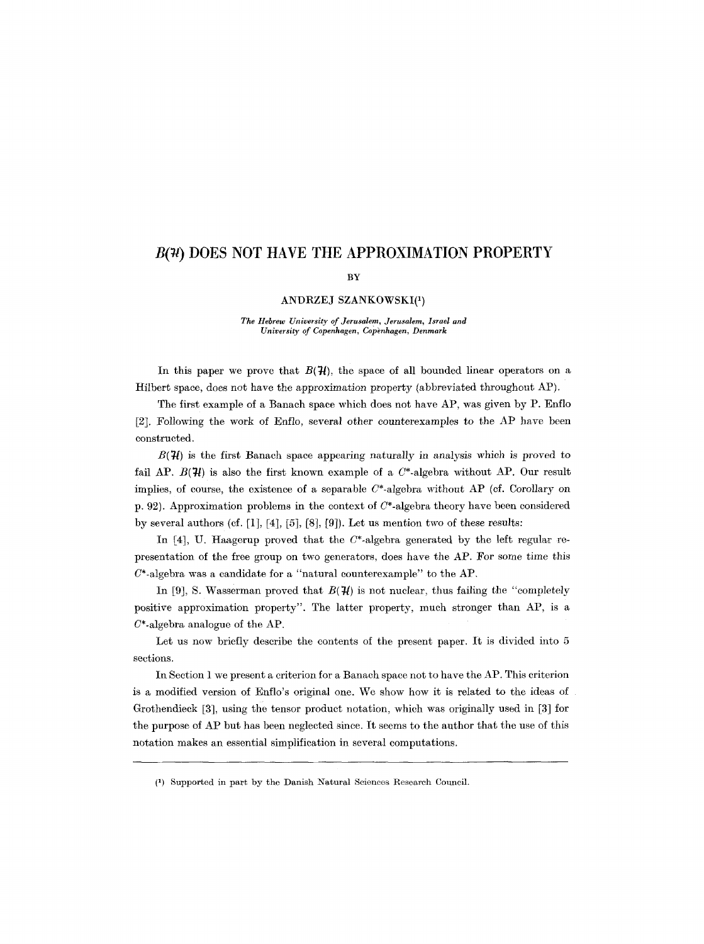# **B(74) DOES NOT HAVE THE APPROXIMATION PROPERTY**

### BY

# ANDRZEJ SZANKOWSKI(1)

*The Hebrew University of Jerusalem, Jerusalem, Israel and University of Copenhagen, Copbnhagen, Denmark* 

In this paper we prove that  $B(\mathcal{H})$ , the space of all bounded linear operators on a Hilbert space, does not have the approximation property (abbreviated throughout AP).

The first example of a Banach space which does not have AP, was given by P. Enflo [2]. Following the work of Enflo, several other eounterexamples to the AP have been constructed.

 $B(\mathcal{H})$  is the first Banach space appearing naturally in analysis which is proved to fail AP.  $B(\mathcal{H})$  is also the first known example of a  $C^*$ -algebra without AP. Our result implies, of course, the existence of a separable  $C^*$ -algebra without AP (cf. Corollary on p. 92). Approximation problems in the context of  $C^*$ -algebra theory have been considered by several authors (ef. [1], [4], [5], [8], [9]). Let us mention two of these results:

In [4], U. Haagerup proved that the  $C^*$ -algebra generated by the left regular representation of the free group on two generators, does have the AP. For some time this  $C^*$ -algebra was a candidate for a "natural counterexample" to the AP.

In [9], S. Wasserman proved that  $B(\mathcal{H})$  is not nuclear, thus failing the "completely" positive approximation property". The latter property, much stronger than AP, is a  $C^*$ -algebra analogue of the AP.

Let us now briefly describe the contents of the present paper. It is divided into 5 sections.

In Section 1 we present a criterion for a Banaeh space not to have the AP. This criterion is a modified version of Enflo's original one. We show how it is related to the ideas of Grothendieck [3], using the tensor product notation, which was originally used in [3] for the purpose of AP but has been neglected since. It seems to the author that the use of this notation makes an essential simplification in several computations.

<sup>(1)</sup> Supported in part by the Danish Natural Sciences Research Council.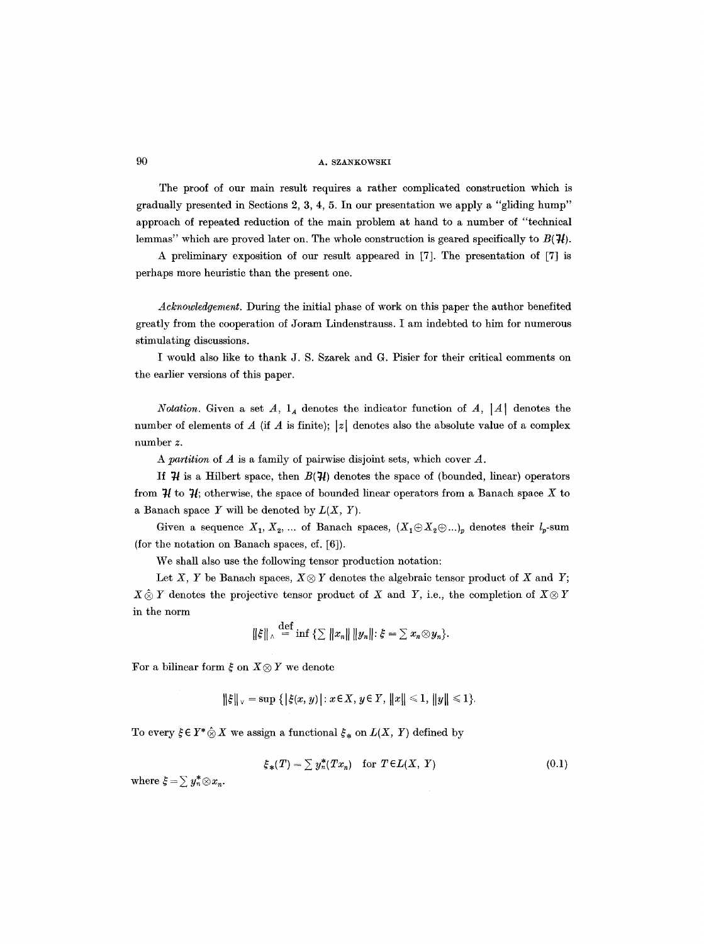The proof of our main result requires a rather complicated construction which is gradually presented in Sections 2, 3, 4, 5. In our presentation we apply a "gliding hump" approach of repeated reduction of the main problem at hand to a number of "technical lemmas" which are proved later on. The whole construction is geared specifically to  $B(\mathcal{H})$ .

A preliminary exposition of our result appeared in [7]. The presentation of [7] is perhaps more heuristic than the present one.

*Acknowledgement.* During the initial phase of work on this paper the author benefited greatly from the cooperation of Joram Lindenstrauss. I am indebted to him for numerous stimulating discussions.

I would also like to thank J. S. Szarek and G. Pisier for their critical comments on the earlier versions of this paper.

*Notation.* Given a set  $A$ ,  $I_A$  denotes the indicator function of  $A$ ,  $|A|$  denotes the number of elements of A (if A is finite);  $|z|$  denotes also the absolute value of a complex number *z.* 

*A partition* of A is a family of pairwise disjoint sets, which cover A.

If  $H$  is a Hilbert space, then  $B(H)$  denotes the space of (bounded, linear) operators from  $\mathcal{H}$  to  $\mathcal{H}$ ; otherwise, the space of bounded linear operators from a Banach space X to a Banach space  $Y$  will be denoted by  $L(X, Y)$ .

Given a sequence  $X_1, X_2, ...$  of Banach spaces,  $(X_1 \oplus X_2 \oplus ...)_p$  denotes their  $l_p$ -sum (for the notation on Banach spaces, cf. [6]).

We shall also use the following tensor production notation:

Let X, Y be Banach spaces,  $X \otimes Y$  denotes the algebraic tensor product of X and Y;  $X \hat{\otimes} Y$  denotes the projective tensor product of X and Y, i.e., the completion of  $X \otimes Y$ in the norm

$$
\|\xi\|_{\wedge} \stackrel{\text{def}}{=} \inf \left\{ \sum \|x_n\| \|y_n\| : \xi = \sum x_n \otimes y_n \right\}.
$$

For a bilinear form  $\xi$  on  $X \otimes Y$  we denote

$$
\|\xi\|_{\vee} = \sup \{ |\xi(x, y)| : x \in X, y \in Y, ||x|| \leq 1, ||y|| \leq 1 \}.
$$

To every  $\xi \in Y^* \hat{\otimes} X$  we assign a functional  $\xi_*$  on  $L(X, Y)$  defined by

$$
\xi_*(T) = \sum y_n^*(Tx_n) \quad \text{for } T \in L(X, Y) \tag{0.1}
$$

where  $\xi = \sum y_n^* \otimes x_n$ .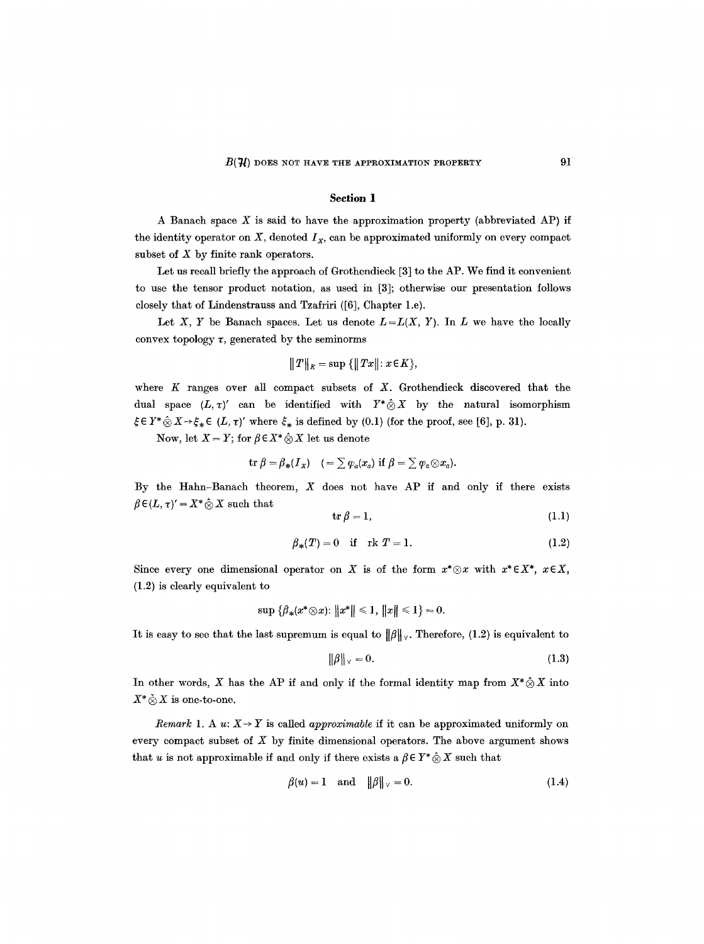### **Section 1**

A Banach space  $X$  is said to have the approximation property (abbreviated AP) if the identity operator on  $X$ , denoted  $I_X$ , can be approximated uniformly on every compact subset of  $X$  by finite rank operators.

Let us recall briefly the approach of Grothendieck [3] to the AP. We find it convenient to use the tensor product notation, as used in [3]; otherwise our presentation follows closely that of Lindenstrauss and Tzafriri ([6], Chapter 1.e).

Let X, Y be Banach spaces. Let us denote  $L = L(X, Y)$ . In L we have the locally convex topology  $\tau$ , generated by the seminorms

$$
||T||_K = \sup \{||Tx||: x \in K\},\
$$

where  $K$  ranges over all compact subsets of  $X$ . Grothendieck discovered that the dual space  $(L, \tau)'$  can be identified with  $Y^* \hat{\otimes} X$  by the natural isomorphism  $\xi \in Y^* \hat{\otimes} X \rightarrow \xi_* \in (L, \tau)'$  where  $\xi_*$  is defined by (0.1) (for the proof, see [6], p. 31).

Now, let  $X = Y$ ; for  $\beta \in X^* \hat{\otimes} X$  let us denote

$$
\operatorname{tr} \beta = \beta_*(I_X) \quad (= \sum \varphi_a(x_a) \text{ if } \beta = \sum \varphi_a \otimes x_a).
$$

By the Hahn-Banach theorem,  $X$  does not have AP if and only if there exists  $\beta \in (L, \tau)' = X^* \hat{\otimes} X$  such that

$$
\operatorname{tr} \beta = 1,\tag{1.1}
$$

$$
\beta_*(T) = 0 \quad \text{if} \quad \text{rk } T = 1. \tag{1.2}
$$

Since every one dimensional operator on X is of the form  $x^*\otimes x$  with  $x^*\in X^*$ ,  $x\in X$ , (1.2) is clearly equivalent to

$$
\sup \|\beta_*(x^*\otimes x)\colon \|x^*\| \leq 1, \|x\| \leq 1\} = 0.
$$

It is easy to see that the last supremum is equal to  $\|\beta\|_{\nu}$ . Therefore, (1.2) is equivalent to

$$
\|\beta\|_{\vee} = 0. \tag{1.3}
$$

In other words, X has the AP if and only if the formal identity map from  $X^* \hat{\otimes} X$  into  $X^* \& X$  is one-to-one.

*Remark* 1. A  $u: X \rightarrow Y$  is called *approximable* if it can be approximated uniformly on every compact subset of  $X$  by finite dimensional operators. The above argument shows that u is not approximable if and only if there exists a  $\beta \in Y^* \hat{\otimes} X$  such that

$$
\beta(u) = 1 \quad \text{and} \quad \|\beta\|_{\vee} = 0. \tag{1.4}
$$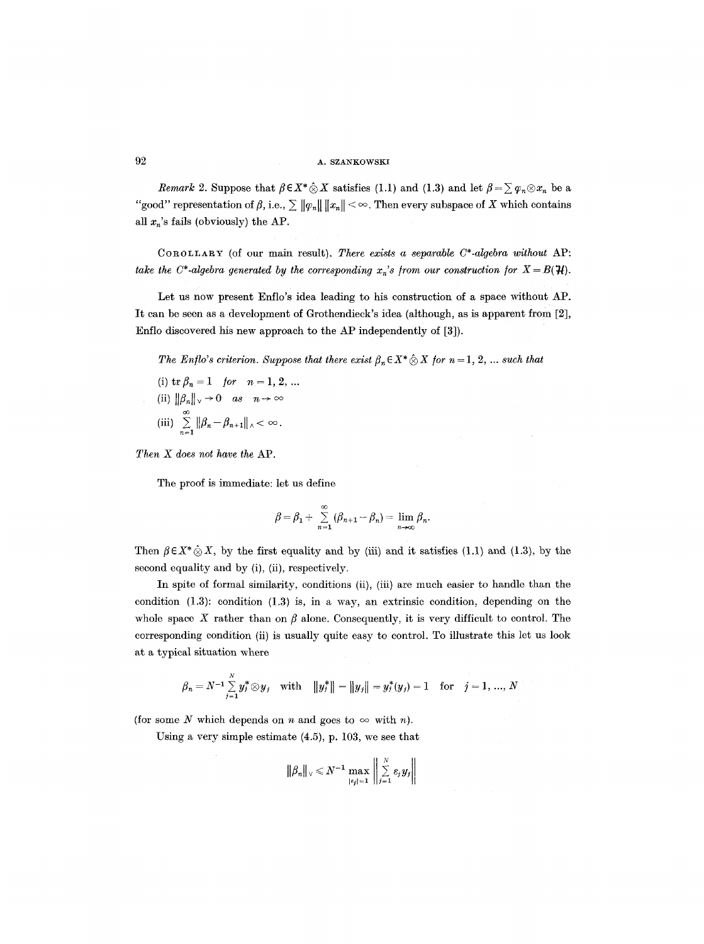*Remark* 2. Suppose that  $\beta \in X^* \hat{\otimes} X$  satisfies (1.1) and (1.3) and let  $\beta = \sum \varphi_n \otimes x_n$  be a "good" representation of  $\beta$ , i.e.,  $\sum ||\varphi_n|| ||x_n|| < \infty$ . Then every subspace of X which contains all  $x_n$ 's fails (obviously) the AP.

COROLLAaY (of our main result). *There exists a separable C\*-algebra without* AP: *take the C\*-algebra generated by the corresponding*  $x_n$ *'s from our construction for*  $X = B(\mathcal{H})$ *.* 

Let us now present Enflo's idea leading to his construction of a space without AP. It can be seen as a development of Grothendieck's idea (although, as is apparent from [2], Enflo discovered his new approach to the AP independently of [3]).

*The Enflo's criterion. Suppose that there exist*  $\beta_n \in X^* \hat{\otimes} X$  *for*  $n = 1, 2, ...$  *such that* (i)  $\text{tr } \beta_n = 1$  *for*  $n = 1, 2, ...$ (ii)  $\|\beta_n\|_{\vee} \to 0$  as  $n \to \infty$ (iii)  $\sum_{n=1}^{\infty} ||\beta_n - \beta_{n+1}||_n < \infty$ .

*Then X does not have the* AP.

The proof is immediate: let us define

$$
\beta=\beta_1+\sum_{n=1}^\infty\left(\beta_{n+1}-\beta_n\right)=\lim_{n\to\infty}\beta_n.
$$

Then  $\beta \in X^* \hat{\otimes} X$ , by the first equality and by (iii) and it satisfies (1.1) and (1.3), by the second equality and by (i), (ii), respectively.

In spite of formal similarity, conditions (ii), (iii) are much easier to handle than the condition (1.3): condition (1.3) is, in a way, an extrinsic condition, depending on the whole space X rather than on  $\beta$  alone. Consequently, it is very difficult to control. The corresponding condition (ii) is usually quite easy to control. To illustrate this let us look at a typical situation where

$$
\beta_n = N^{-1} \sum_{j=1}^N y_j^* \otimes y_j \quad \text{with} \quad ||y_j^*|| = ||y_j|| = y_j^*(y_j) = 1 \quad \text{for} \quad j = 1, ..., N
$$

(for some N which depends on n and goes to  $\infty$  with n).

Using a very simple estimate (4.5), p. 103, we see that

$$
\|\beta_n\|_{\vee} \leq N^{-1} \max_{\left|\epsilon_j\right| = 1} \left\| \sum_{j=1}^N \epsilon_j y_j \right\|
$$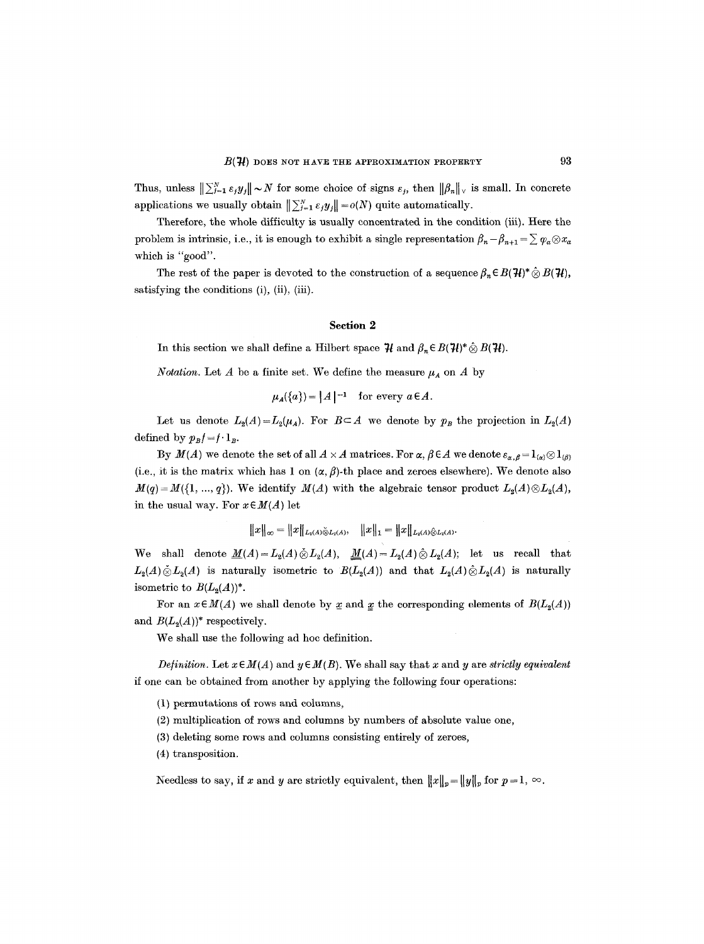Thus, unless  $\|\sum_{j=1}^N \varepsilon_j y_j\| \sim N$  for some choice of signs  $\varepsilon_j$ , then  $\|\beta_n\|_{\vee}$  is small. In concrete applications we usually obtain  $\|\sum_{j=1}^N \varepsilon_j y_j\| = o(N)$  quite automatically.

Therefore, the whole difficulty is usually concentrated in the condition (iii). Here the problem is intrinsic, i.e., it is enough to exhibit a single representation  $\beta_n - \beta_{n+1} = \sum \varphi_a \otimes x_a$ which is "good".

The rest of the paper is devoted to the construction of a sequence  $\beta_n \in B(\mathcal{H})^* \hat{\otimes} B(\mathcal{H})$ , satisfying the conditions (i), (ii), (iii).

#### **Section 2**

In this section we shall define a Hilbert space  $\mathcal{H}$  and  $\beta_n \in B(\mathcal{H})^* \hat{\otimes} B(\mathcal{H})$ .

*Notation.* Let A be a finite set. We define the measure  $\mu_A$  on A by

 $\mu_A(\{a\})=|A|^{-1}$  for every  $a \in A$ .

Let us denote  $L_2(A) = L_2(\mu_A)$ . For  $B \subset A$  we denote by  $p_B$  the projection in  $L_2(A)$ defined by  $p_Bf=f \cdot 1_B$ .

By  $M(A)$  we denote the set of all  $A \times A$  matrices. For  $\alpha, \beta \in A$  we denote  $\varepsilon_{\alpha,\beta} = 1_{\{\alpha\}} \otimes 1_{\{\beta\}}$ (i.e., it is the matrix which has 1 on  $(\alpha, \beta)$ -th place and zeroes elsewhere). We denote also  $M(q) = M({1, ..., q})$ . We identify  $M(A)$  with the algebraic tensor product  $L_2(A) \otimes L_2(A)$ , in the usual way. For  $x \in M(A)$  let

$$
||x||_{\infty} = ||x||_{L_2(A)\overset{\sim}{\otimes}L_2(A)}, \quad ||x||_1 = ||x||_{L_2(A)\overset{\sim}{\otimes}L_2(A)}.
$$

We shall denote  $\underline{M}(A) = L_2(A) \ddot{\otimes} L_2(A)$ ,  $\underline{M}(A) = L_2(A) \ddot{\otimes} L_2(A)$ ; let us recall that  $L_2(A) \& L_2(A)$  is naturally isometric to  $B(L_2(A))$  and that  $L_2(A) \& L_2(A)$  is naturally isometric to  $B(L_2(A))^*$ .

For an  $x \in M(A)$  we shall denote by x and x the corresponding elements of  $B(L_2(A))$ and  $B(L_2(A))^*$  respectively.

We shall use the following ad hoc definition.

*Definition.* Let  $x \in M(A)$  and  $y \in M(B)$ . We shall say that x and y are *strictly equivalent* if one can be obtained from another by applying the following four operations:

(1) permutations of rows and columns,

(2) multiplication of rows and columns by numbers of absolute value one,

- (3) deleting some rows and columns consisting entirely of zeroes,
- (4) transposition.

Needless to say, if x and y are strictly equivalent, then  $||x||_p = ||y||_p$  for  $p = 1, \infty$ .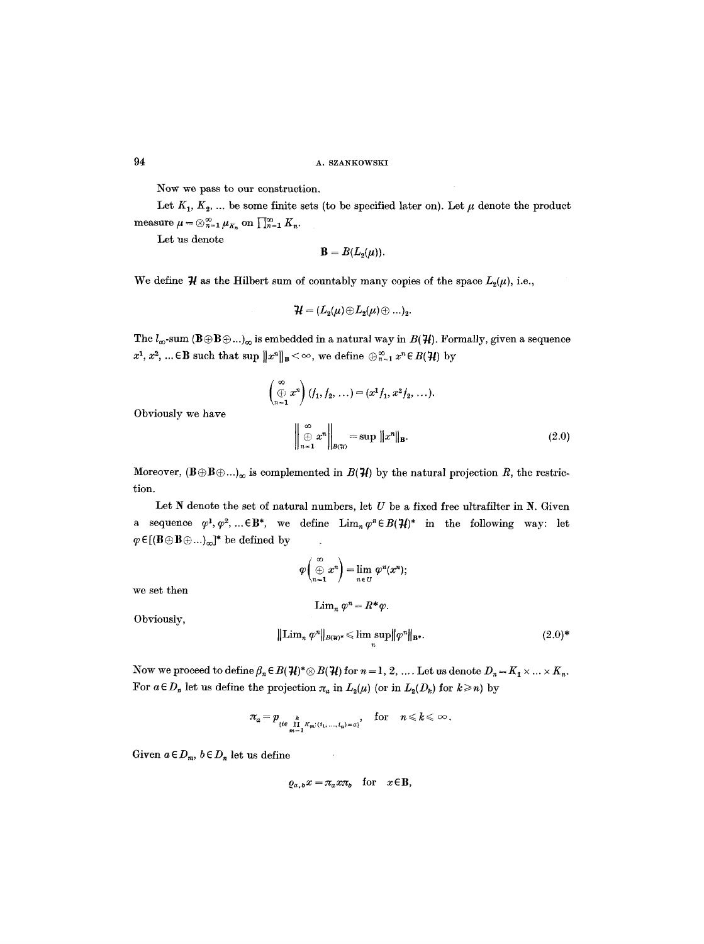Now we pass to our construction.

Let  $K_1, K_2, \ldots$  be some finite sets (to be specified later on). Let  $\mu$  denote the product measure  $\mu = \otimes_{n=1}^{\infty} \mu_{K_n}$  on  $\prod_{n=1}^{\infty} K_n$ .

Let us denote

$$
\mathbf{B}=B(L_2(\mu)).
$$

We define  $\mathcal H$  as the Hilbert sum of countably many copies of the space  $L_2(\mu)$ , i.e.,

$$
\mathcal{H}=(L_2(\mu)\!\oplus\!L_2(\mu)\!\oplus...)_2.
$$

The  $l_{\infty}$ -sum  $(B \oplus B \oplus ...)_{\infty}$  is embedded in a natural way in  $B(\mathcal{H})$ . Formally, given a sequence  $x^1, x^2, ... \in \mathbf{B}$  such that sup  $||x^n||_{\mathbf{B}} < \infty$ , we define  $\bigoplus_{n=1}^{\infty} x^n \in B(\mathcal{H})$  by

$$
\begin{pmatrix}\n\infty \\
\oplus x^n\n\end{pmatrix}\n\begin{pmatrix}\nf_1, f_2, \ldots\n\end{pmatrix} = (x^1 f_1, x^2 f_2, \ldots).
$$
\n
$$
\left\|\begin{pmatrix}\n\infty \\
\oplus x^n\n\end{pmatrix}\right\|_{\mathbf{B}} = \sup \|x^n\|_{\mathbf{B}}.
$$
\n(2.0)

Obviously we have

$$
\left\| \bigoplus_{n=1}^{\infty} x^n \right\|_{B(\mathcal{H})} = \sup \|x^n\|_{\mathbf{B}}.
$$
 (2.0)

Moreover,  $(\mathbf{B}\oplus\mathbf{B}\oplus\ldots)_{\infty}$  is complemented in  $B({\cal H})$  by the natural projection R, the restriction.

Let  $N$  denote the set of natural numbers, let  $U$  be a fixed free ultrafilter in  $N$ . Given a sequence  $\varphi^1, \varphi^2, \dots \in \mathbf{B}^*$ , we define  $\lim_{n} \varphi^n \in B(\mathcal{H})^*$  in the following way: let  $\varphi \in [(\mathbf{B} \oplus \mathbf{B} \oplus \ldots)_{\infty}]^*$  be defined by

> $\varphi \left( \oplus x^n \right) = \lim \varphi^n(x^n);$  $n \in U$

> > $\lim_{n} \varphi^{n} = R^{*}\varphi.$

we set then

Obviously,

$$
\mathcal{L}^{\mathcal{L}}_{\mathcal{L}}(\mathcal{L}^{\mathcal{L}}_{\mathcal{L}}(\mathcal{L}^{\mathcal{L}}_{\mathcal{L}}))\leq \mathcal{L}^{\mathcal{L}}_{\mathcal{L}}(\mathcal{L}^{\mathcal{L}}_{\mathcal{L}}(\mathcal{L}^{\mathcal{L}}_{\mathcal{L}}))
$$

$$
\|\operatorname{Lim}_n \varphi^n\|_{B(\mathcal{H})^*} \le \limsup_n \|\varphi^n\|_{\mathbf{B}^*}.
$$
\n(2.0)\*

Now we proceed to define  $\beta_n \in B(\mathcal{H})^* \otimes B(\mathcal{H})$  for  $n = 1, 2, ...$  Let us denote  $D_n = K_1 \times ... \times K_n$ . For  $a \in D_n$  let us define the projection  $\pi_a$  in  $L_2(\mu)$  (or in  $L_2(D_k)$  for  $k \ge n$ ) by

$$
\pi_a = p_{\{i \in \prod_{m=1}^k K_m : (i_1, ..., i_n) = a\}}, \quad \text{for} \quad n \leq k \leq \infty.
$$

Given  $a \in D_m$ ,  $b \in D_n$  let us define

$$
\varrho_{a,b}x=\pi_{a}x\pi_{b} \quad \text{for} \quad x\in\mathbb{B},
$$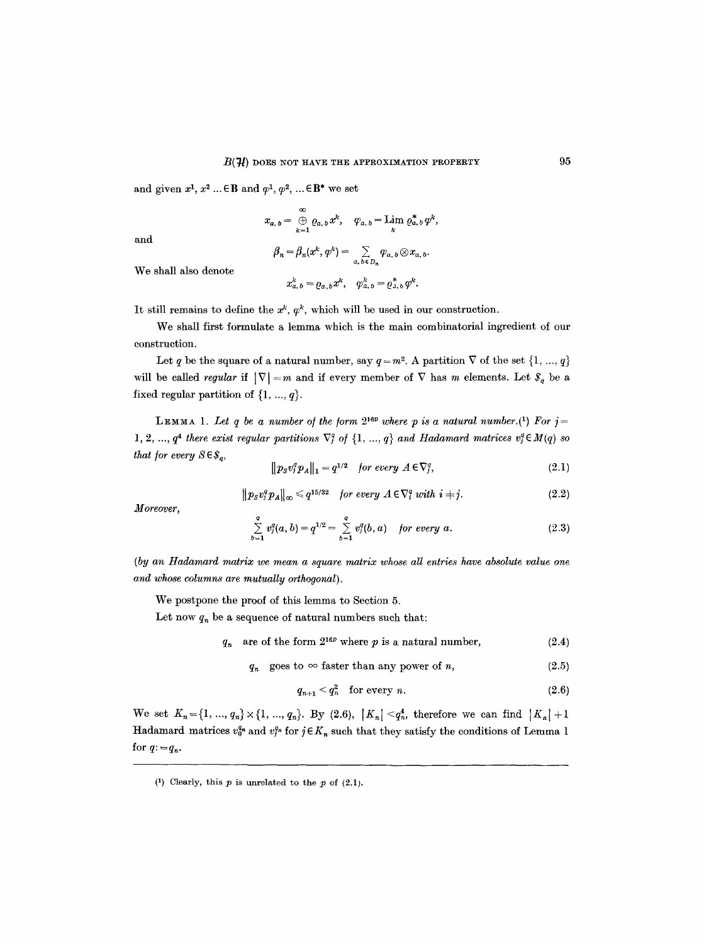and given  $x^1, x^2 \dots \in \mathbf{B}$  and  $\varphi^1, \varphi^2, \dots \in \mathbf{B}^*$  we set

$$
x_{a, b} = \bigoplus_{k=1}^{\infty} \varrho_{a, b} x^{k}, \quad \varphi_{a, b} = \lim_{k} \varrho_{a, b}^{*} \varphi^{k},
$$

and

$$
\beta_n = \beta_n(x^k, \varphi^k) = \sum_{a, b \in D_n} \varphi_{a, b} \otimes x_{a, b}.
$$

We shall also denote

$$
x_{a, b}^k = \varrho_{a, b} x^k, \quad \varphi_{a, b}^k = \varrho_{a, b}^* \varphi^k.
$$

It still remains to define the  $x^k$ ,  $\varphi^k$ , which will be used in our construction.

We shall first formulate a lemma which is the main combinatorial ingredient of our construction.

Let q be the square of a natural number, say  $q=m^2$ . A partition  $\nabla$  of the set  $\{1, ..., q\}$ will be called *regular* if  $|\nabla| = m$  and if every member of  $\nabla$  has m elements. Let  $\mathcal{S}_q$  be a fixed regular partition of  $\{1, ..., q\}$ .

**LEMMA** 1. Let q be a number of the form  $2^{16p}$  where p is a natural number.(1) For  $j=$ 1, 2, ...,  $q^4$  there exist regular partitions  $\nabla_i^q$  of  $\{1, ..., q\}$  and Hadamard matrices  $v_i^q \in M(q)$  so *that for every*  $S \in \mathcal{S}_q$ ,

$$
\|p_S v_j^q p_A\|_1 = q^{1/2} \quad \text{for every } A \in \nabla_j^q,
$$
\n(2.1)

$$
||p_s v_j^q p_A||_{\infty} \leq q^{15/32} \quad \text{for every } A \in \nabla_i^q \text{ with } i \neq j. \tag{2.2}
$$

*Moreover,* 

$$
\sum_{b=1}^{q} v_j^q(a,b) = q^{1/2} = \sum_{b=1}^{q} v_j^q(b,a) \quad \text{for every } a.
$$
 (2.3)

*(by an Hadamard matrix we mean a square matrix whose all entries have absolute value one. and whose columns are mutually orthogonal).* 

We postpone the proof of this lemma to Section 5.

Let now  $q_n$  be a sequence of natural numbers such that:

 $q_n$  are of the form  $2^{16p}$  where p is a natural number, (2.4)

$$
q_n \quad \text{goes to} \quad \infty \text{ faster than any power of } n,\tag{2.5}
$$

$$
q_{n+1} < q_n^2 \quad \text{for every } n. \tag{2.6}
$$

We set  $K_n = \{1, ..., q_n\} \times \{1, ..., q_n\}$ . By (2.6),  $|K_n| < q_n$ , therefore we can find  $|K_n| + 1$ Hadamard matrices  $v_0^{q_n}$  and  $v_j^{q_n}$  for  $j \in K_n$  such that they satisfy the conditions of Lemma 1 for  $q:=q_n$ .

<sup>(1)</sup> Clearly, this  $p$  is unrelated to the  $p$  of (2.1).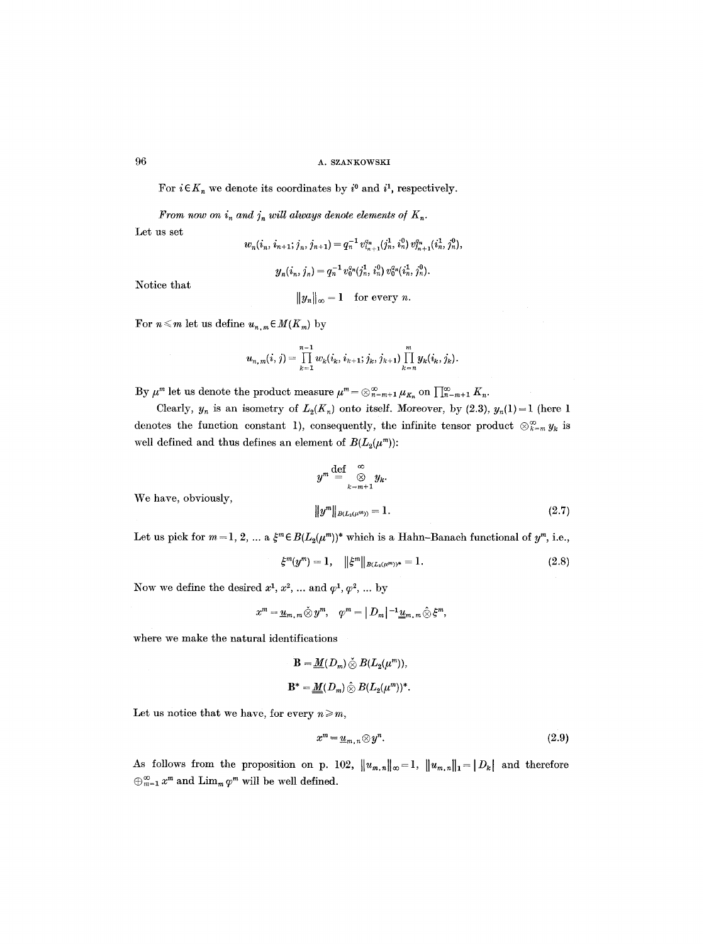For  $i \in K_n$  we denote its coordinates by  $i^0$  and  $i^1$ , respectively.

*From now on i<sub>n</sub> and j<sub>n</sub> will always denote elements of*  $K_n$ .

Let us set

$$
w_n(i_n, i_{n+1}; j_n, j_{n+1}) = q_n^{-1} v_{i_{n+1}}^{q_n}(j_n^1, i_n^0) v_{i_{n+1}}^{q_n}(i_n^1, j_n^0),
$$

$$
y_n(i_n, j_n) = q_n^{-1} v_0^{q_n}(j_n^1, i_n^0) v_0^{q_n}(i_n^1, j_n^0).
$$

Notice that

$$
\|y_n\|_\infty = 1 \quad \text{for every } n.
$$

For  $n \leq m$  let us define  $u_{n,m} \in M(K_m)$  by

$$
u_{n,m}(i,j) = \prod_{k=1}^{n-1} w_k(i_k, i_{k+1}; j_k, j_{k+1}) \prod_{k=n}^m y_k(i_k, j_k).
$$

By  $\mu^m$  let us denote the product measure  $\mu^m = \otimes_{n=m+1}^{\infty} \mu_{K_n}$  on  $\prod_{n=m+1}^{\infty} K_n$ .

Clearly,  $y_n$  is an isometry of  $L_2(K_n)$  onto itself. Moreover, by (2.3),  $y_n(1) = 1$  (here 1 denotes the function constant 1), consequently, the infinite tensor product  $\otimes_{k=m}^{\infty} y_k$  is well defined and thus defines an element of  $B(L_2(\mu^m))$ :

$$
y^{m} \stackrel{\text{def}}{=} \bigotimes_{k=m+1}^{\infty} y_{k}.
$$

$$
||y^{m}||_{B(L_{2}(\mu^{m}))} = 1.
$$
 (2.7)

We have, obviously,

Let us pick for  $m = 1, 2, ...$  a  $\xi^m \in B(L_2(\mu^m))^*$  which is a Hahn-Banach functional of  $y^m$ , i.e.,

$$
\xi^m(y^m) = 1, \quad \|\xi^m\|_{B(L_2(\mu^m))^*} = 1. \tag{2.8}
$$

Now we define the desired  $x^1, x^2, \ldots$  and  $\varphi^1, \varphi^2, \ldots$  by

$$
x^m = \underline{u}_{m,m} \tilde{\otimes} y^m, \quad \varphi^m = |D_m|^{-1} \underline{u}_{m,m} \hat{\otimes} \xi^m,
$$

where we make the natural identifications

$$
\mathbf{B} = \underline{M}(D_m) \overset{\sim}{\otimes} B(L_2(\mu^m)),
$$
  

$$
\mathbf{B}^* = \underline{M}(D_m) \overset{\sim}{\otimes} B(L_2(\mu^m))^*.
$$

Let us notice that we have, for every  $n \geq m$ ,

$$
x^m = \underline{u}_{m,n} \otimes y^n. \tag{2.9}
$$

As follows from the proposition on p. 102,  $||u_{m,n}||_{\infty} = 1$ ,  $||u_{m,n}||_{1} = |D_{k}|$  and therefore  $\bigoplus_{m=1}^{\infty} x^m$  and  $\lim_{m \to \infty} \varphi^m$  will be well defined.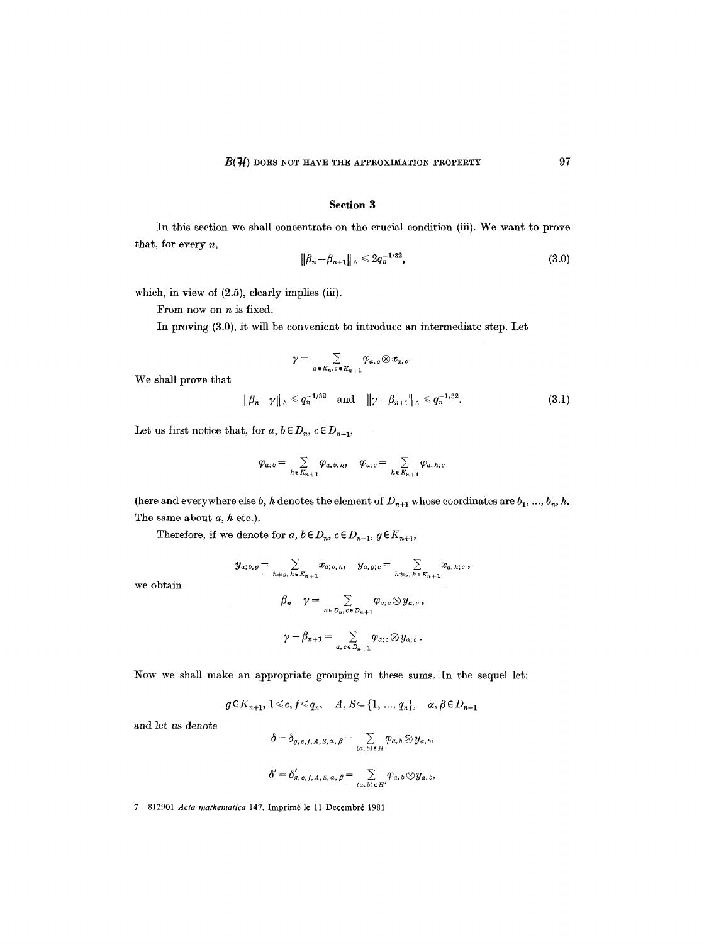## **Section 3**

In this section we shall concentrate on the crucial condition (iii). We want to prove that, for every n,

$$
\|\beta_n - \beta_{n+1}\|_{\wedge} \leq 2q_n^{-1/32},\tag{3.0}
$$

which, in view of  $(2.5)$ , clearly implies (iii).

From now on *n* is fixed.

In proving (3.0), it will be convenient to introduce an intermediate step. Let

$$
\gamma = \sum_{a \in K_n, c \in K_{n+1}} \varphi_{a,c} \otimes x_{a,c}.
$$

We shall prove that

$$
\|\beta_n - \gamma\|_{\wedge} \leq q_n^{-1/32}
$$
 and  $\|\gamma - \beta_{n+1}\|_{\wedge} \leq q_n^{-1/32}$ . (3.1)

Let us first notice that, for  $a, b \in D_n$ ,  $c \in D_{n+1}$ ,

$$
\varphi_{a;b} = \sum_{h \in K_{n+1}} \varphi_{a;b,h}, \quad \varphi_{a;c} = \sum_{h \in K_{n+1}} \varphi_{a,h;c}
$$

(here and everywhere else  $b, h$  denotes the element of  $D_{n+1}$  whose coordinates are  $b_1, ..., b_n, h$ . The same about  $a, h$  etc.).

Therefore, if we denote for  $a, b \in D_n$ ,  $c \in D_{n+1}$ ,  $g \in K_{n+1}$ ,

$$
y_{a;b,g} = \sum_{h+g,\,h \in K_{n+1}} x_{a;b,h}, \quad y_{a,g;c} = \sum_{h+g,\,h \in K_{n+1}} x_{a,h;c},
$$

$$
\beta_n - \gamma = \sum_{a \in D_n, c \in D_{n+1}} \varphi_{a;c} \otimes y_{a,c},
$$

$$
\gamma-\beta_{n+1}=\sum_{a,c\in D_{n+1}}\varphi_{a;c}\otimes y_{a;c}.
$$

Now we shall make an appropriate grouping in these sums. In the sequel let:

$$
g \in K_{n+1}, 1 \leq e, f \leq q_n, \quad A, S \subset \{1, ..., q_n\}, \quad \alpha, \beta \in D_{n-1}
$$

and let us denote

we obtain

$$
\delta = \delta_{g,e,f,A,S,\alpha,\beta} = \sum_{(a,b)\in H} \varphi_{a,b} \otimes y_{a,b},
$$
  

$$
\delta' = \delta'_{g,e,f,A,S,\alpha,\beta} = \sum_{(a,b)\in H'} \varphi_{a,b} \otimes y_{a,b},
$$

7- 812901 *Acta mathematica* 147. lmprim6 le 11 Decembr6 1981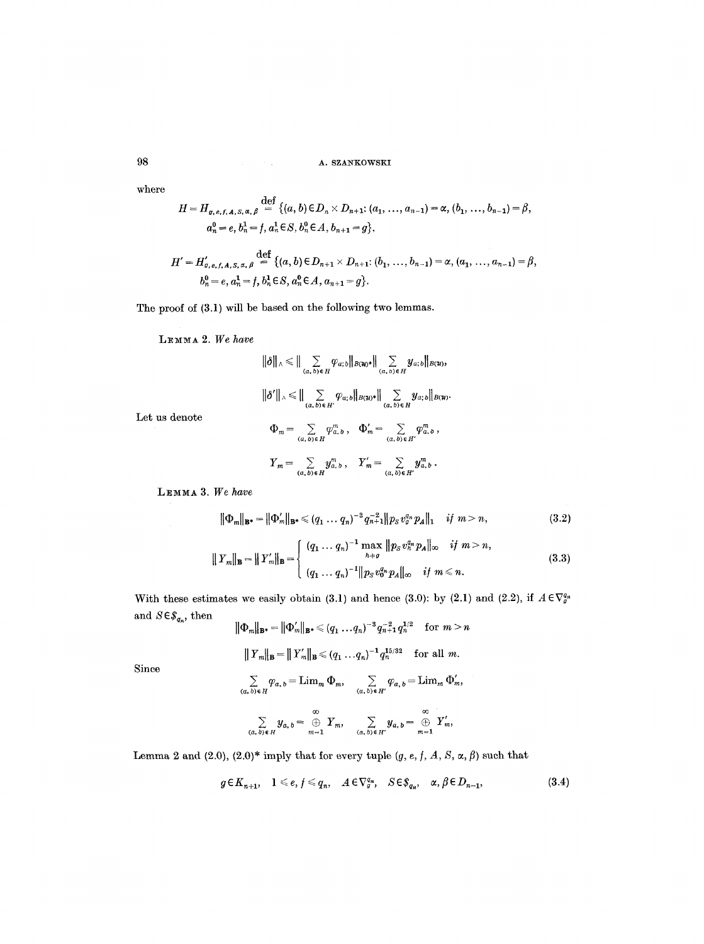where

$$
H = H_{g,e,f,A,S,\alpha,\beta} \stackrel{\text{def}}{=} \{(a,b) \in D_n \times D_{n+1}; (a_1, \ldots, a_{n-1}) = \alpha, (b_1, \ldots, b_{n-1}) = \beta, a_n^0 = e, b_n^1 = f, a_n^1 \in S, b_n^0 \in A, b_{n+1} = g\},\
$$

$$
H' = H'_{a, e, f, A, S, \alpha, \beta} \stackrel{\text{def}}{=} \{ (a, b) \in D_{n+1} \times D_{n+1}: (b_1, ..., b_{n-1}) = \alpha, (a_1, ..., a_{n-1}) = \beta, \\ b_n^0 = e, a_n^1 = f, b_n^1 \in S, a_n^0 \in A, a_{n+1} = g \}.
$$

The proof of (3.1) will be based on the following two lemmas.

LEMMA 2. We have

$$
\|\delta\|_{\wedge} \leq \|\sum_{(a,\,b)\in H} \varphi_{a;b} \|_{B(\mathcal{H})^*} \|\sum_{(a,\,b)\in H} y_{a;b} \|_{B(\mathcal{H})},
$$
  

$$
\|\delta' \|_{\wedge} \leq \|\sum_{(a,\,b)\in H'} \varphi_{a;b} \|_{B(\mathcal{H})^*} \|\sum_{(a,\,b)\in H} y_{a;b} \|_{B(\mathcal{H})}.
$$
  

$$
\Phi_m = \sum_{(a,\,b)\in H} \varphi_{a,\,b}^m, \quad \Phi_m' = \sum_{(a,\,b)\in H'} \varphi_{a,\,b}^m,
$$
  

$$
Y_m = \sum_{(a,\,b)\in H} y_{a,\,b}^m, \quad Y_m' = \sum_{(a,\,b)\in H'} y_{a,\,b}^m.
$$

LEMMA 3. We have

Let us denote

$$
\|\Phi_m\|_{\mathbf{B}^*} = \|\Phi'_m\|_{\mathbf{B}^*} \leq (q_1 \dots q_n)^{-3} q_{n+1}^{-2} \|\, p_s \, v_g^{q_n} \, p_A\|_1 \quad \text{if } m > n,\tag{3.2}
$$

$$
|| Y_m ||_{\mathbf{B}} = || Y'_m ||_{\mathbf{B}} = \begin{cases} (q_1 \dots q_n)^{-1} \max_{h \neq g} || p_S v_h^{q_n} p_A ||_{\infty} & \text{if } m > n, \\ (q_1 \dots q_n)^{-1} || p_S v_0^{q_n} p_A ||_{\infty} & \text{if } m \leq n. \end{cases}
$$
(3.3)

With these estimates we easily obtain (3.1) and hence (3.0): by (2.1) and (2.2), if  $A \in \nabla_{g}^{q_n}$ and  $S \!\in\! \mathcal{S}_{q_n},$  then

$$
\|\Phi_m\|_{\mathbf{B}^*} = \|\Phi_m'\|_{\mathbf{B}^*} \leq (q_1 \dots q_n)^{-3} q_{n+1}^{-2} q_n^{1/2} \quad \text{for } m > n
$$

$$
||Y_m||_{\mathbf{B}} = ||Y'_m||_{\mathbf{B}} \leq (q_1 \ldots q_n)^{-1} q_n^{15/32}
$$
 for all m.

Since

$$
\sum_{(a, b)\in H} \varphi_{a, b} = \text{Lim}_m \, \Phi_m, \qquad \sum_{(a, b)\in H'} \varphi_{a, b} = \text{Lim}_m \, \Phi'_m,
$$
\n
$$
\sum_{(a, b)\in H'} y_{a, b} = \bigoplus_{m=1}^{\infty} Y_m, \qquad \sum_{(a, b)\in H'} y_{a, b} = \bigoplus_{m=1}^{\infty} Y'_m,
$$

Lemma 2 and (2.0), (2.0)\* imply that for every tuple  $(g, e, f, A, S, \alpha, \beta)$  such that

$$
g \in K_{n+1}, \quad 1 \leq e, f \leq q_n, \quad A \in \nabla_g^{q_n}, \quad S \in \mathcal{S}_{q_n}, \quad \alpha, \beta \in D_{n-1}, \tag{3.4}
$$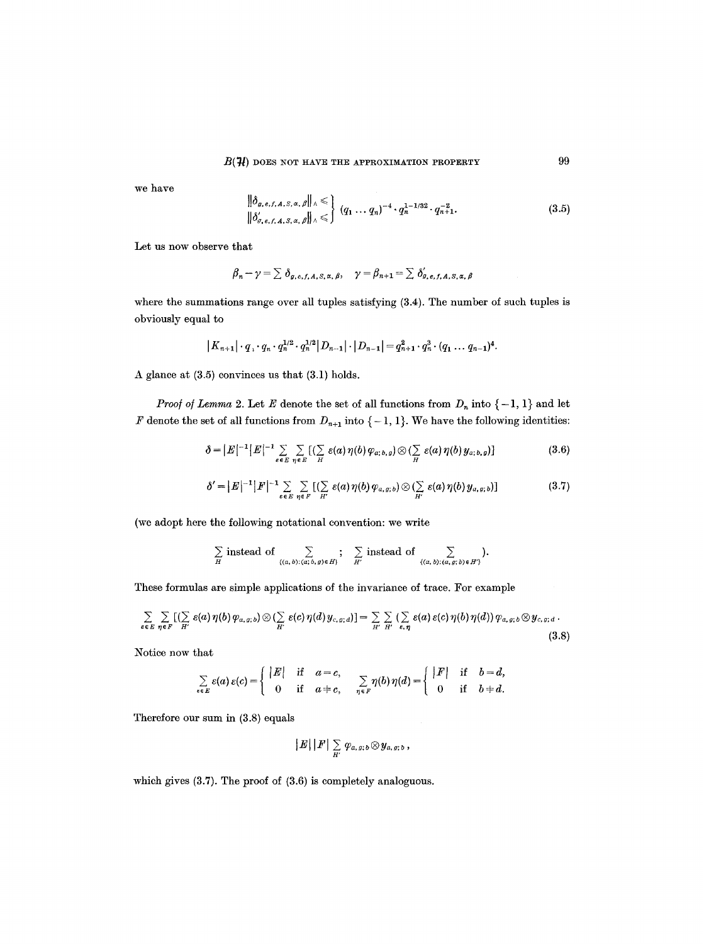we have

$$
\left\| \delta_{g,e,f,A,S,\alpha,\beta} \right\|_{\Lambda} \leqslant \left\{ (q_1 \ldots q_n)^{-4} \cdot q_n^{1-1/32} \cdot q_{n+1}^{-2} \cdot (3.5) \right\}
$$

Let us now observe that

$$
\beta_n - \gamma = \sum \delta_{g,e,f,A,S,\alpha,\beta}, \quad \gamma = \beta_{n+1} = \sum \delta'_{g,e,f,A,S,\alpha,\beta}
$$

where the summations range over all tuples satisfying (3.4). The number of such tuples is obviously equal to

$$
|K_{n+1}|\cdot q_1\cdot q_n\cdot q_n^{1/2}\cdot q_n^{1/2}|D_{n-1}|\cdot|D_{n-1}|=q_{n+1}^2\cdot q_n^3\cdot (q_1\ldots q_{n-1})^4.
$$

A glance at (3.5) convinces us that (3.1) holds.

*Proof of Lemma 2.* Let E denote the set of all functions from  $D_n$  into  $\{-1, 1\}$  and let F denote the set of all functions from  $D_{n+1}$  into  $\{-1, 1\}$ . We have the following identities:

$$
\delta = |E|^{-1} |E|^{-1} \sum_{\varepsilon \in E} \sum_{\eta \in E} [(\sum_{H} \varepsilon(a) \eta(b) \varphi_{a; b, g}) \otimes (\sum_{H} \varepsilon(a) \eta(b) \, y_{a; b, g})] \tag{3.6}
$$

$$
\delta' = |E|^{-1} |F|^{-1} \sum_{\varepsilon \in E} \sum_{\eta \in F} [(\sum_{H'} \varepsilon(a) \eta(b) \varphi_{a,g;b}) \otimes (\sum_{H'} \varepsilon(a) \eta(b) y_{a,g;b})]
$$
(3.7)

(we adopt here the following notational convention: we write

$$
\sum_{H} \text{ instead of } \sum_{\{(a,b):(a,b,g)\in H\}}; \sum_{H'} \text{ instead of } \sum_{\{(a,b):(a,g;b)\in H'\}}.
$$

These formulas are simple applications of the invarianee of trace. For example

$$
\sum_{e \in E} \sum_{\eta \in F} [(\sum_{H'} \varepsilon(a)\eta(b)\varphi_{a,g;b}) \otimes (\sum_{H'} \varepsilon(c)\eta(d)\,y_{c,g;d})] = \sum_{H'} \sum_{H'} (\sum_{\varepsilon,\eta} \varepsilon(a)\,\varepsilon(c)\,\eta(b)\,\eta(d))\,\varphi_{a,g;b} \otimes y_{c,g;d}.
$$
\n(3.8)

Notice now that

$$
\sum_{e \in E} \varepsilon(a) \, \varepsilon(c) = \left\{ \begin{array}{ccc} |E| & \text{if } & a = c, \\ 0 & \text{if } & a = c, \\ \end{array} \right. \quad \sum_{\eta \in F} \eta(b) \, \eta(d) = \left\{ \begin{array}{ccc} |F| & \text{if } & b = d, \\ 0 & \text{if } & b \neq d. \end{array} \right.
$$

Therefore our sum in (3.8) equals

$$
||E||||F||\sum_{H'}\varphi_{a,\,g;\,b}\otimes y_{a,\,g;\,b}\,,
$$

which gives (3.7). The proof of (3.6) is completely analoguous.

99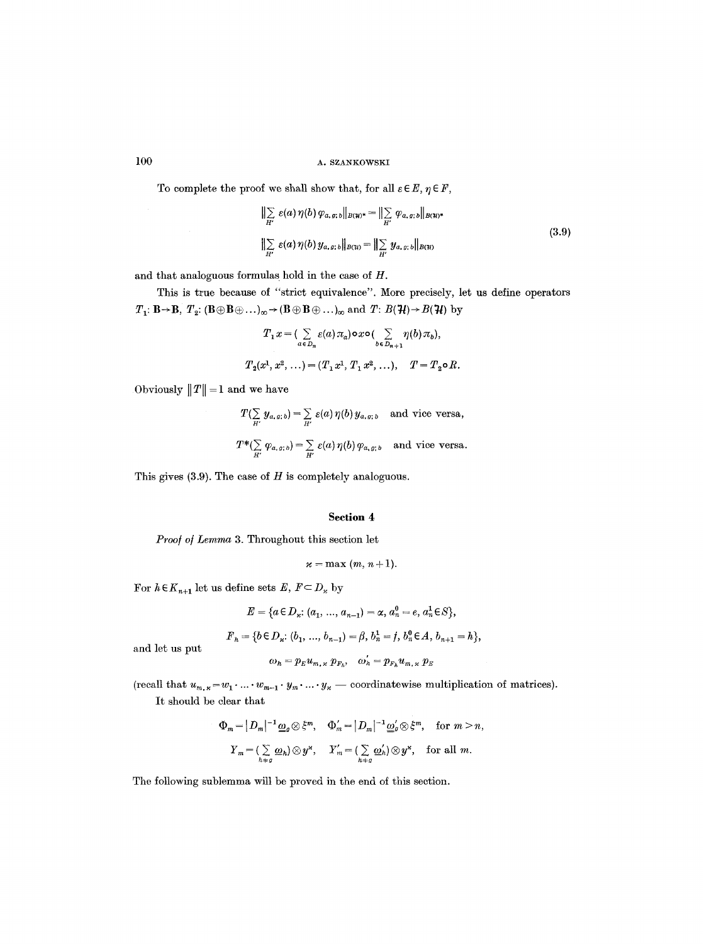To complete the proof we shall show that, for all  $\varepsilon \in E, \eta \in F$ ,

$$
\|\sum_{H'} \varepsilon(a)\,\eta(b)\,\varphi_{a,\,g;\,b}\|_{B(\mathcal{H})^*} = \|\sum_{H'} \varphi_{a,\,g;\,b}\|_{B(\mathcal{H})^*} \|\sum_{H'} \varepsilon(a)\,\eta(b)\,y_{a,\,g;\,b}\|_{B(\mathcal{H})} = \|\sum_{H'} y_{a,\,g;\,b}\|_{B(\mathcal{H})}
$$
\n(3.9)

and that analoguous formulas hold in the case of H.

This is true because of "strict equivalence". More precisely, let us define operators  $T_1: \mathbf{B} \to \mathbf{B}, T_2: (\mathbf{B} \oplus \mathbf{B} \oplus \ldots)_{\infty} \to (\mathbf{B} \oplus \mathbf{B} \oplus \ldots)_{\infty}$  and  $T: B(\mathcal{H}) \to B(\mathcal{H})$  by

$$
T_1 x = \left( \sum_{a \in D_n} \varepsilon(a) \pi_a \right) \circ x \circ \left( \sum_{b \in D_{n+1}} \eta(b) \pi_b \right),
$$
  

$$
T_2(x^1, x^2, \ldots) = (T_1 x^1, T_1 x^2, \ldots), \quad T = T_2 \circ R.
$$

Obviously  $||T|| = 1$  and we have

$$
T(\sum_{H'} y_{a,g;b}) = \sum_{H'} \varepsilon(a) \, \eta(b) \, y_{a,g;b} \quad \text{and vice versa},
$$
  

$$
T^*(\sum_{H'} \varphi_{a,g;b}) = \sum_{H'} \varepsilon(a) \, \eta(b) \, \varphi_{a,g;b} \quad \text{and vice versa}.
$$

This gives  $(3.9)$ . The case of  $H$  is completely analoguous.

## Section **4**

*Proo/o] Lemma* 3. Throughout this section let

$$
\varkappa = \max(m, n+1).
$$

For  $h\!\in\!K_{n+1}$  let us define sets  $E,\,F\!\subset\!D_{\varkappa}$  by

$$
E = \{a \in D_{\varkappa}: (a_1, ..., a_{n-1}) = \alpha, a_n^0 = e, a_n^1 \in S\},\
$$

$$
F_n = \{b \in D_n: (b_1, ..., b_{n-1}) = \beta, b_n^1 = f, b_n^0 \in A, b_{n+1} = h\},\
$$

and let us put

$$
\omega_h=p_Eu_{m,\,\varkappa}\,\,p_{F_h},\quad \omega_h'=p_{F_h}u_{m,\,\varkappa}\,\,p_E
$$

(recall that  $u_{m,x} = w_1 \cdot ... \cdot w_{m-1} \cdot y_m \cdot ... \cdot y_{\chi}$  -- coordinatewise multiplication of matrices). It should be clear that

$$
\begin{aligned}\n\Phi_m &= |D_m|^{-1} \underline{\omega}_g \otimes \xi^m, & \Phi'_m &= |D_m|^{-1} \underline{\omega}'_g \otimes \xi^m, & \text{for } m > n, \\
Y_m &= (\sum_{h \neq g} \underline{\omega}_h) \otimes y^{\mu}, & Y'_m &= (\sum_{h \neq g} \underline{\omega}'_h) \otimes y^{\mu}, & \text{for all } m.\n\end{aligned}
$$

The following sublemma will be proved in the end of this section.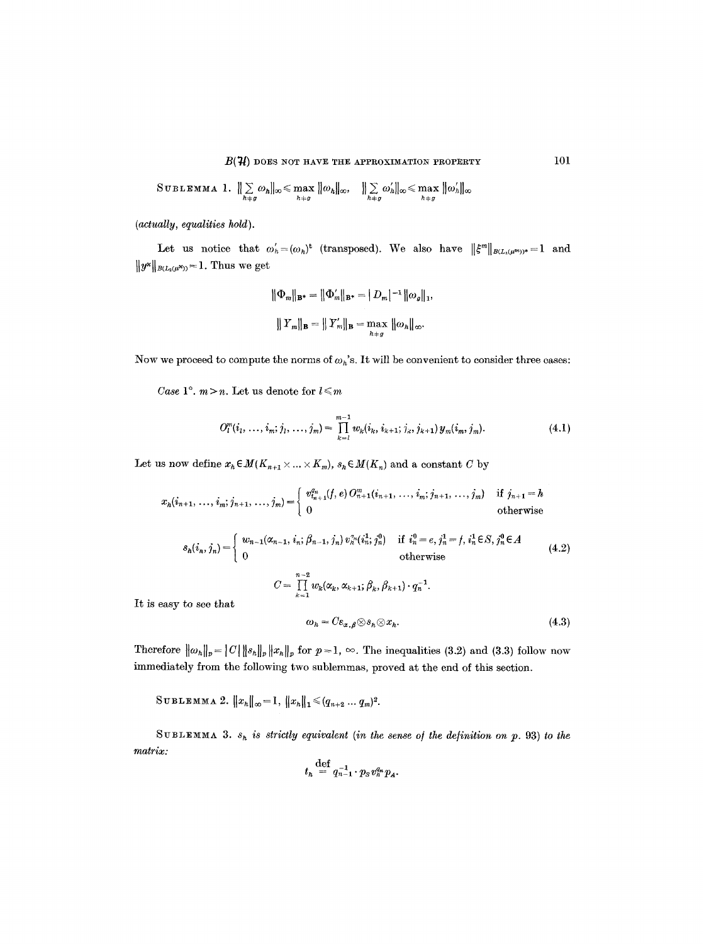$$
\text{SUBLEMMA 1. } \| \sum_{h \neq g} \omega_h \|_{\infty} \leq \max_{h \neq g} \| \omega_h \|_{\infty}, \quad \| \sum_{h \neq g} \omega'_h \|_{\infty} \leq \max_{h \neq g} \| \omega'_h \|_{\infty}
$$

*(actually, equalities hold).* 

Let us notice that  $\omega'_h = (\omega_h)^t$  (transposed). We also have  $||\xi^m||_{B(L_z(\mu^m))^*} = 1$  and  $||y^*||_{B(L_2(\mu^X))} = 1$ . Thus we get

$$
\|\Phi_m\|_{\mathbf{B}^*} = \|\Phi_m'\|_{\mathbf{B}^*} = \|D_m|^{-1} \|\omega_g\|_1,
$$
  

$$
\|Y_m\|_{\mathbf{B}} = \|Y_m'\|_{\mathbf{B}} = \max_{h \neq g} \|\omega_h\|_{\infty}.
$$

Now we proceed to compute the norms of  $\omega_n$ 's. It will be convenient to consider three cases:

*Case*  $1^\circ$ *.*  $m > n$ *. Let us denote for*  $l \leq m$ 

$$
O_l^m(i_1, \ldots, i_m; j_1, \ldots, j_m) = \prod_{k=1}^{m-1} w_k(i_k, i_{k+1}; j_k, j_{k+1}) y_m(i_m, j_m).
$$
 (4.1)

Let us now define  $x_h \in M(K_{n+1} \times ... \times K_m)$ ,  $s_h \in M(K_n)$  and a constant C by

$$
x_{h}(i_{n+1},\ldots,i_{m};j_{n+1},\ldots,j_{m})=\begin{cases} v_{i_{n+1}}^{q_n}(f,e)\,O_{n+1}^{m}(i_{n+1},\,\ldots,i_{m};j_{n+1},\,\ldots,j_{m}) & \text{if } j_{n+1}=h\\ 0 & \text{otherwise} \end{cases}
$$

$$
s_{h}(i_{n}, j_{n}) = \begin{cases} w_{n-1}(\alpha_{n-1}, i_{n}; \beta_{n-1}, j_{n}) v_{n}^{n} (i_{n}^{1}; j_{n}^{0}) & \text{if } i_{n}^{0} = e, j_{n}^{1} = f, i_{n}^{1} \in S, j_{n}^{0} \in A \\ 0 & \text{otherwise} \end{cases}
$$
\n
$$
C = \sum_{k=1}^{n-2} w_{k}(\alpha_{k}, \alpha_{k+1}; \beta_{k}, \beta_{k+1}) \cdot q_{n}^{-1}.
$$
\n
$$
(4.2)
$$

It is easy to see that

$$
\omega_h = C \varepsilon_{\alpha,\beta} \otimes s_h \otimes x_h. \tag{4.3}
$$

Therefore  $\|\omega_h\|_p = |C| \|\mathbf{s}_h\|_p \|\mathbf{x}_h\|_p$  for  $p=1$ ,  $\infty$ . The inequalities (3.2) and (3.3) follow now immediately from the following two sublemmas, proved at the end of this section.

 $\texttt{SUBLEMMA 2. } \|x_{h}\|_{\infty} = 1, \|x_{h}\|_{1} \leqslant (q_{n+2} \ldots q_{m})^{2}.$ 

SUBLEMMA 3.  $s_h$  is strictly equivalent (in the sense of the definition on  $p$ . 93) to the *matrix:* 

$$
t_h \stackrel{\text{def}}{=} q_{n-1}^{-1} \cdot p_S v_h^{q_n} p_A.
$$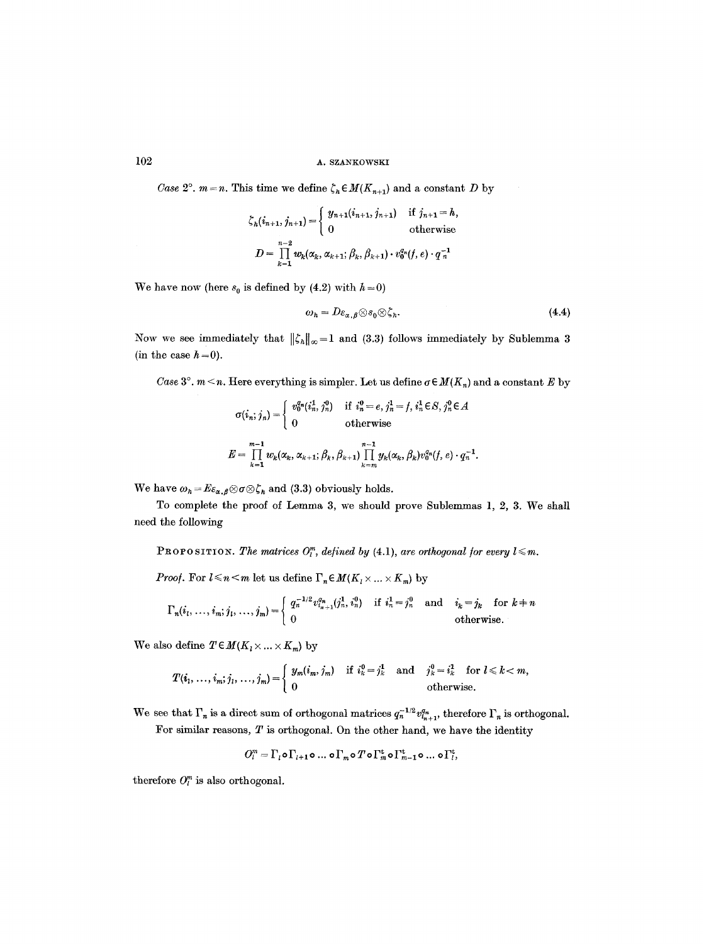*Case 2<sup>o</sup>*.  $m=n$ . This time we define  $\zeta_n \in M(K_{n+1})$  and a constant D by

$$
\zeta_{h}(i_{n+1}, j_{n+1}) = \begin{cases} y_{n+1}(i_{n+1}, j_{n+1}) & \text{if } j_{n+1} = h, \\ 0 & \text{otherwise} \end{cases}
$$
  

$$
D = \prod_{k=1}^{n-2} w_{k}(\alpha_{k}, \alpha_{k+1}; \beta_{k}, \beta_{k+1}) \cdot v_{0}^{q_{n}}(f, e) \cdot q_{n}^{-1}
$$

We have now (here  $s_0$  is defined by (4.2) with  $h=0$ )

$$
\omega_h = D\varepsilon_{\alpha,\beta} \otimes s_0 \otimes \zeta_h. \tag{4.4}
$$

Now we see immediately that  $\|\zeta_n\|_{\infty}=1$  and (3.3) follows immediately by Sublemma 3 (in the case  $h = 0$ ).

*Case*  $3^\circ$ .  $m < n$ . Here everything is simpler. Let us define  $\sigma \in M(K_n)$  and a constant E by

$$
\sigma(i_n; j_n) = \begin{cases}\nv_0^{q_n}(i_n^1, j_n^0) & \text{if } i_n^0 = e, j_n^1 = f, i_n^1 \in S, j_n^0 \in A \\
0 & \text{otherwise}\n\end{cases}
$$
\n
$$
E = \prod_{k=1}^{m-1} w_k(\alpha_k, \alpha_{k+1}; \beta_k, \beta_{k+1}) \prod_{k=m}^{n-1} y_k(\alpha_k, \beta_k) v_0^{q_n}(f, e) \cdot q_n^{-1}.
$$

We have  $\omega_h = E \epsilon_{\alpha,\beta} \otimes \sigma \otimes \zeta_h$  and (3.3) obviously holds.

To complete the proof of Lemma 3, we should prove Sublemmas 1, 2, 3. We shall need the following

PROPO SITION. The matrices  $O_l^m$ , defined by (4.1), are orthogonal for every  $l \leq m$ .

*Proof.* For  $l \le n \le m$  let us define  $\Gamma_n \in M(K_1 \times ... \times K_m)$  by

$$
\Gamma_n(i_1, \ldots, i_m; j_1, \ldots, j_m) = \begin{cases} q_n^{-1/2} v_{i_{n+1}}^{q_n} (j_n^1, i_n^0) & \text{if } i_n^1 = j_n^0 \text{ and } i_k = j_k \text{ for } k+n \\ 0 & \text{otherwise.} \end{cases}
$$

We also define  $T \in M(K_1 \times \ldots \times K_m)$  by

$$
T(i_1,\ldots,i_m;j_1,\ldots,j_m) = \begin{cases} y_m(i_m,j_m) & \text{if } i^0_k = j^1_k \quad \text{and} \quad j^0_k = i^1_k \quad \text{for } l \leq k < m, \\ 0 & \text{otherwise.} \end{cases}
$$

We see that  $\Gamma_n$  is a direct sum of orthogonal matrices  $q_n^{-1/2}v_{i_{n+1}}^q$ , therefore  $\Gamma_n$  is orthogonal.

For similar reasons,  $T$  is orthogonal. On the other hand, we have the identity

$$
O_i^m = \Gamma_i \circ \Gamma_{i+1} \circ \dots \circ \Gamma_m \circ T \circ \Gamma_m^{\mathrm{t}} \circ \Gamma_{m-1}^{\mathrm{t}} \circ \dots \circ \Gamma_i^{\mathrm{t}},
$$

therefore  $O_l^m$  is also orthogonal.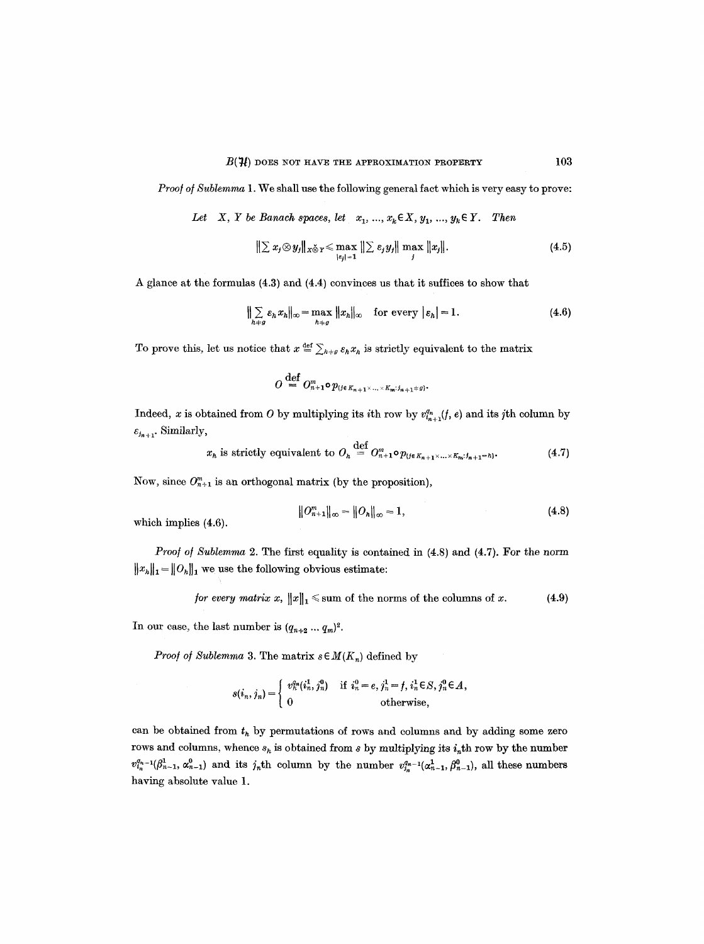*Proof of Sublemma* 1. We shall use the following general fact which is very easy to prove:

Let X, Y be Banach spaces, let  $x_1, ..., x_k \in X$ ,  $y_1, ..., y_k \in Y$ . Then

$$
\|\sum x_j \otimes y_j\|_{X\check{\otimes} Y} \le \max_{|s_j|=1} \|\sum \varepsilon_j y_j\| \max_j \|x_j\|.
$$
 (4.5)

A glance at the formulas (4.3) and (4.4) convinces us that it suffices to show that

$$
\sum_{h+g} \varepsilon_h x_h \|_{\infty} = \max_{h+g} \|x_h\|_{\infty} \quad \text{for every } |\varepsilon_h| = 1.
$$
 (4.6)

To prove this, let us notice that  $x \stackrel{\text{def}}{=} \sum_{h \neq g} \varepsilon_h x_h$  is strictly equivalent to the matrix

$$
O\overset{\mathrm{def}}{=} O^m_{n+1}\circ p_{\{j\in K_{n+1}\times\ldots\times K_m;\,j_{n+1}\neq g\}}.
$$

Indeed, x is obtained from O by multiplying its ith row by  $v_{i_{n+1}}^{q_n}(f, e)$  and its jth column by  $\varepsilon_{j_{n+1}}$ . Similarly,

 $x_h$  is strictly equivalent to  $O_h \stackrel{\text{def}}{=} O_{n+1}^m \circ p_{\{j \in K_{n+1} \times ... \times K_n : j_{n+1} = h\}}.$  (4.7)

Now, since  $O_{n+1}^m$  is an orthogonal matrix (by the proposition),

$$
||O_{n+1}^m||_{\infty} = ||O_h||_{\infty} = 1,
$$
\n(4.8)

which implies (4.6).

*Proof of Sublemma 2.* The first equality is contained in (4.8) and (4.7). For the norm  $||x_h||_1 = ||O_h||_1$  we use the following obvious estimate:

for every matrix 
$$
x
$$
,  $||x||_1 \le$  sum of the norms of the columns of  $x$ . (4.9)

In our case, the last number is  $(q_{n+2} \dots q_m)^2$ .

*Proof of Sublemma 3.* The matrix  $s \in M(K_n)$  defined by

$$
s(i_n, j_n) = \begin{cases} v_n^{q_n}(i_n^1, j_n^0) & \text{if } i_n^0 = e, j_n^1 = f, i_n^1 \in S, j_n^0 \in A, \\ 0 & \text{otherwise,} \end{cases}
$$

can be obtained from  $t<sub>h</sub>$  by permutations of rows and columns and by adding some zero rows and columns, whence  $s_h$  is obtained from s by multiplying its  $i_n$ th row by the number  $v_{i_n}^{q_{n-1}}(\beta_{n-1}^1, \alpha_{n-1}^0)$  and its  $j_n$ th column by the number  $v_{i_n}^{q_{n-1}}(\alpha_{n-1}^1, \beta_{n-1}^0)$ , all these numbers having absolute value 1.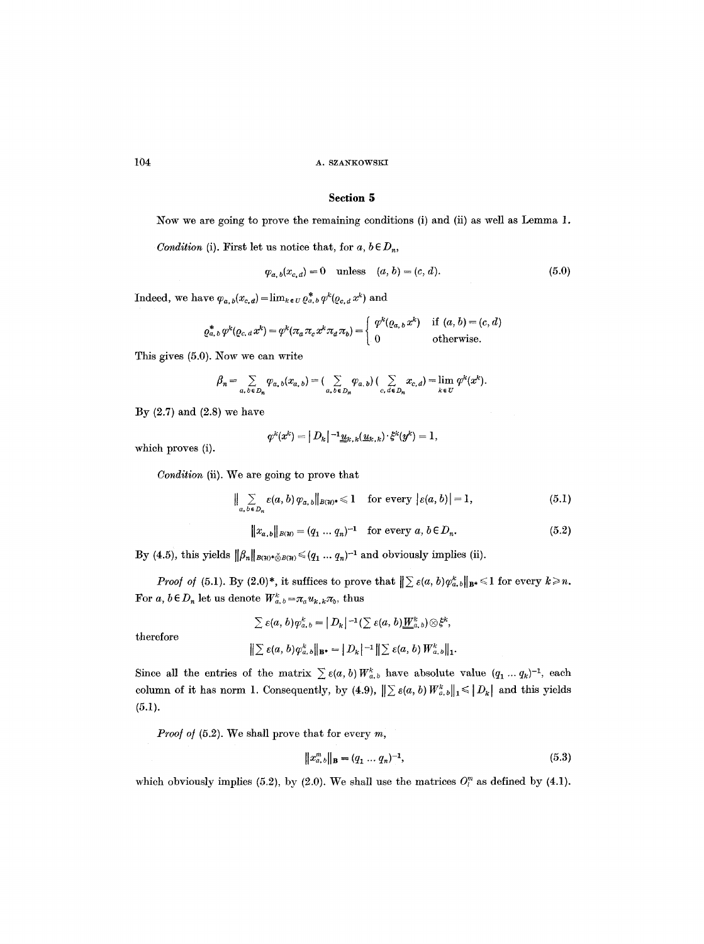## **Section 5**

Now we are going to prove the remaining conditions (i) and (ii) as well as Lemma 1.

*Condition (i).* First let us notice that, for  $a, b \in D_n$ ,

$$
\varphi_{a,b}(x_{c,d}) = 0 \quad \text{unless} \quad (a, b) = (c, d). \tag{5.0}
$$

Indeed, we have  $\varphi_{a,b}(x_{c,a})=\lim_{k\in U} \varrho_{a,b}^{*} \varphi^{k}(\varrho_{c,a} x^{k})$  and

$$
\varrho_{a,b}^* \varphi^k(\varrho_{c,a} x^k) = \varphi^k(\pi_a \pi_c x^k \pi_a \pi_b) = \begin{cases} \varphi^k(\varrho_{a,b} x^k) & \text{if } (a,b) = (c,d) \\ 0 & \text{otherwise.} \end{cases}
$$

This gives (5.0). Now we can write

$$
\beta_n = \sum_{a, b \in D_n} \varphi_{a, b}(x_{a, b}) = \big(\sum_{a, b \in D_n} \varphi_{a, b}\big) \big(\sum_{c, d \in D_n} x_{c, d}\big) = \lim_{k \in U} \varphi^k(x^k).
$$

By  $(2.7)$  and  $(2.8)$  we have

$$
\varphi^k(x^k) = |D_k|^{-1} \underline{u}_{k,k}(\underline{u}_{k,k}) \cdot \xi^k(y^k) = 1,
$$

which proves (i).

*Condition* (ii). We are going to prove that

$$
\Big\| \sum_{a, b \in D_n} \varepsilon(a, b) \varphi_{a, b} \Big\|_{B(\mathcal{H})^*} \leq 1 \quad \text{for every } |\varepsilon(a, b)| = 1,
$$
 (5.1)

$$
||x_{a,b}||_{B(w)} = (q_1 \dots q_n)^{-1} \text{ for every } a, b \in D_n.
$$
 (5.2)

By (4.5), this yields  $||\beta_n||_{B(\mathcal{H})^*\check{\otimes}B(\mathcal{H})} \leq (q_1... q_n)^{-1}$  and obviously implies (ii).

*Proof of* (5.1). By (2.0)\*, it suffices to prove that  $\|\sum \varepsilon(a, b)\varphi_{a, b}^k\|_{\mathbf{B}^*} \leq 1$  for every  $k \geq n$ . For *a*,  $b \in D_n$  let us denote  $W^k_{a,b} = \pi_a u_{k,k} \pi_b$ , thus

$$
\sum \varepsilon(a, b)\varphi_{a, b}^k = |D_k|^{-1}(\sum \varepsilon(a, b)\underline{\underline{W}}_{a, b}^k) \otimes \xi^k,
$$

therefore

$$
\left\| \sum \varepsilon(a,b) \varphi_{a,b}^k \right\|_{\mathbf{B}^*} = \left\| D_k \right\|^{-1} \left\| \sum \varepsilon(a,b) \, W_{a,b}^k \right\|_1.
$$

Since all the entries of the matrix  $\sum \varepsilon(a, b) W_{a, b}^k$  have absolute value  $(q_1 ... q_k)^{-1}$ , each column of it has norm 1. Consequently, by (4.9),  $\|\sum \varepsilon(a, b) W_{a, b}^k\|_1 \leq |D_k|$  and this yields  $(5.1).$ 

*Proof of (5.2).* We shall prove that for every m,

$$
||x_{a,b}^m||_{\mathbf{B}} = (q_1 \dots q_n)^{-1},
$$
\n(5.3)

which obviously implies (5.2), by (2.0). We shall use the matrices  $O_l^m$  as defined by (4.1).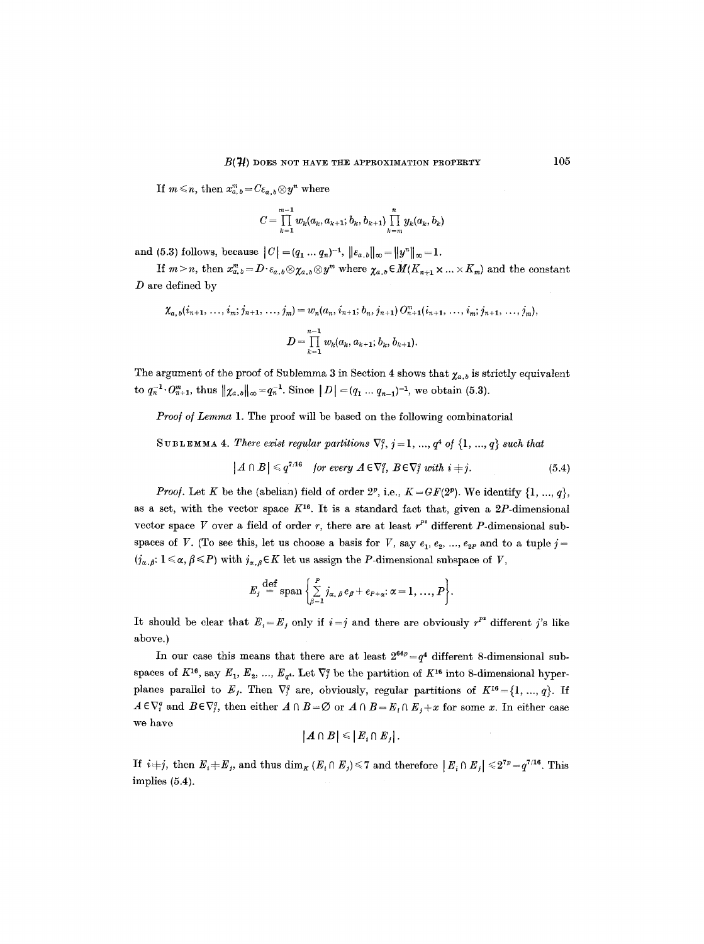If  $m \leq n$ , then  $x_{a,b}^m = C \varepsilon_{a,b} \otimes y^n$  where

$$
C=\prod_{k=1}^{m-1} w_k(a_k,a_{k+1};b_k,b_{k+1})\prod_{k=m}^{n} y_k(a_k,b_k)
$$

and (5.3) follows, because  $||C| = (q_1 \dots q_n)^{-1}$ ,  $||\varepsilon_{a,b}||_{\infty} = ||y^n||_{\infty} = 1$ .

If  $m > n$ , then  $x_{a,b}^m = D \cdot \varepsilon_{a,b} \otimes \chi_{a,b} \otimes y^m$  where  $\chi_{a,b} \in M(K_{n+1} \times ... \times K_m)$  and the constant  $D$  are defined by

$$
\chi_{a,\,b}(i_{n+1},\,\ldots,\,i_m;\,j_{n+1},\,\ldots,\,j_m)=w_n(a_n,\,i_{n+1};\,b_n,\,j_{n+1})\,O_{n+1}^m(i_{n+1},\,\ldots,\,i_m;\,j_{n+1},\,\ldots,\,j_m),
$$
\n
$$
D=\prod_{k=1}^{n-1}w_k(a_k,\,a_{k+1};\,b_k,\,b_{k+1}).
$$

The argument of the proof of Sublemma 3 in Section 4 shows that  $\chi_{a,b}$  is strictly equivalent to  $q_n^{-1} \cdot O_{n+1}^m$ , thus  $||\chi_{a,b}||_{\infty} = q_n^{-1}$ . Since  $|D| = (q_1 \dots q_{n-1})^{-1}$ , we obtain (5.3).

*Proof of Lemma* 1. The proof will be based on the following combinatorial

SUBLEMMA 4. There exist regular partitions  $\nabla_i^q$ ,  $j = 1, ..., q^4$  of  $\{1, ..., q\}$  such that

$$
|A \cap B| \leq q^{7/16} \quad \text{for every } A \in \nabla_i^q, \ B \in \nabla_j^q \text{ with } i = j. \tag{5.4}
$$

*Proof.* Let K be the (abelian) field of order  $2^p$ , i.e.,  $K = GF(2^p)$ . We identify  $\{1, ..., q\}$ , as a set, with the vector space  $K^{16}$ . It is a standard fact that, given a 2P-dimensional vector space V over a field of order r, there are at least  $r<sup>p</sup>$  different P-dimensional subspaces of V. (To see this, let us choose a basis for V, say  $e_1, e_2, ..., e_{2P}$  and to a tuple  $j =$  $(j_{\alpha,\beta}: 1 \leq \alpha, \beta \leq P)$  with  $j_{\alpha,\beta} \in K$  let us assign the P-dimensional subspace of V,

$$
E_j \stackrel{\text{def}}{=} \operatorname{span}\left\{\sum_{\beta=1}^p j_{\alpha,\beta} e_{\beta} + e_{P+\alpha}: \alpha = 1, ..., P\right\}.
$$

It should be clear that  $E_i = E_j$  only if  $i = j$  and there are obviously  $r^{p^2}$  different j's like above.)

In our case this means that there are at least  $2^{64p} = q^4$  different 8-dimensional subspaces of  $K^{16}$ , say  $E_1, E_2, ..., E_{q^4}$ . Let  $\nabla_j^q$  be the partition of  $K^{16}$  into 8-dimensional hyperplanes parallel to  $E_j$ . Then  $\nabla_j^q$  are, obviously, regular partitions of  $K^{16} = \{1, ..., q\}$ . If  $A \in \nabla_i^q$  and  $B \in \nabla_j^q$ , then either  $A \cap B = \emptyset$  or  $A \cap B = E_i \cap E_j + x$  for some x. In either case we have

$$
|A\cap B|\leqslant |E_i\cap E_j|.
$$

If  $i+j$ , then  $E_i \neq E_j$ , and thus  $\dim_K (E_i \cap E_j) \leq 7$  and therefore  $|E_i \cap E_j| \leq 2^{7p} = q^{7/16}$ . This implies (5.4).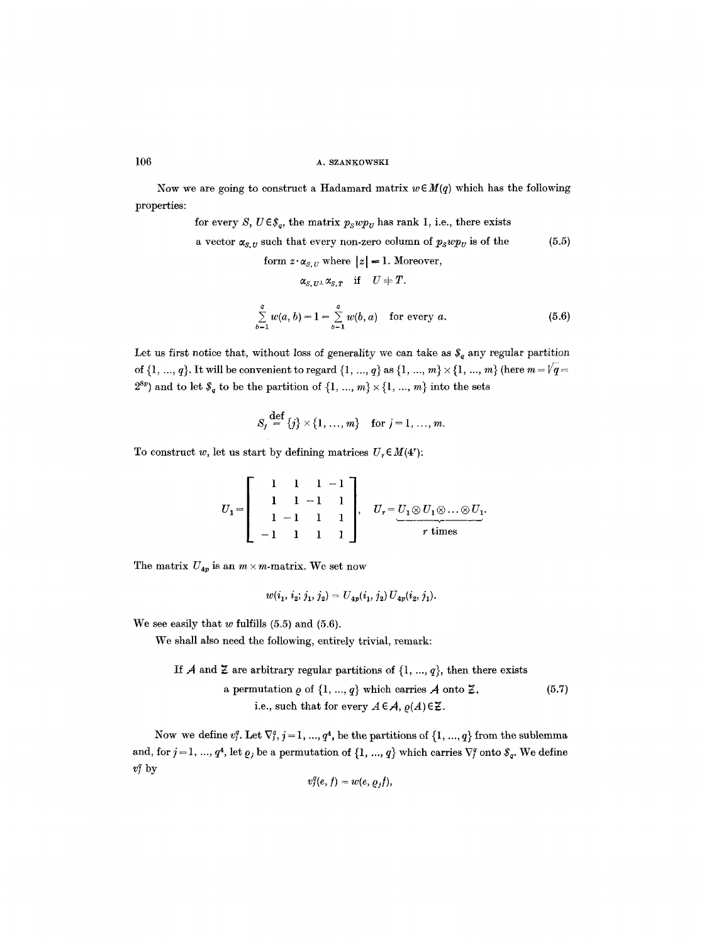Now we are going to construct a Hadamard matrix  $w \in M(q)$  which has the following properties:

for every S, 
$$
U \in \mathcal{S}_q
$$
, the matrix  $p_S wp_U$  has rank 1, i.e., there exists  
a vector  $\alpha_{S,U}$  such that every non-zero column of  $p_S wp_U$  is of the  
form  $z \cdot \alpha_{S,U}$  where  $|z| = 1$ . Moreover,  
 $\alpha_{S,U^{\perp}} \alpha_{S,T}$  if  $U \neq T$ .

$$
\sum_{b=1}^{a} w(a, b) = 1 = \sum_{b=1}^{a} w(b, a) \text{ for every } a.
$$
 (5.6)

Let us first notice that, without loss of generality we can take as  $\mathcal{S}_q$  any regular partition of  $\{1, ..., q\}$ . It will be convenient to regard  $\{1, ..., q\}$  as  $\{1, ..., m\} \times \{1, ..., m\}$  (here  $m = \sqrt{q} =$  $2^{8p}$ ) and to let  $\mathcal{S}_q$  to be the partition of  $\{1, ..., m\} \times \{1, ..., m\}$  into the sets

$$
S_j \stackrel{\text{def}}{=} \{j\} \times \{1, ..., m\}
$$
 for  $j = 1, ..., m$ .

To construct w, let us start by defining matrices  $U_r \in M(4^r)$ :

$$
U_1 = \left[ \begin{array}{rrr} 1 & 1 & 1 & -1 \\ 1 & 1 & -1 & 1 \\ 1 & -1 & 1 & 1 \\ -1 & 1 & 1 & 1 \end{array} \right], \quad U_r = \underbrace{U_1 \otimes U_1 \otimes \ldots \otimes U_1}_{r \text{ times}}.
$$

The matrix  $U_{4p}$  is an  $m \times m$ -matrix. We set now

$$
w(i_1, i_2; j_1, j_2) = U_{4p}(i_1, j_2) U_{4p}(i_2, j_1).
$$

We see easily that  $w$  fulfills  $(5.5)$  and  $(5.6)$ .

We shall also need the following, entirely trivial, remark:

If A and Z are arbitrary regular partitions of  $\{1, ..., q\}$ , then there exists a permutation  $\rho$  of  $\{1, ..., q\}$  which carries  $\mathcal A$  onto  $\mathcal Z$ , (5.7) i.e., such that for every  $A \in \mathcal{A}$ ,  $\varrho(A) \in \mathcal{Z}$ .

Now we define  $v_j^q$ . Let  $\nabla_j^q$ ,  $j = 1, ..., q^4$ , be the partitions of  $\{1, ..., q\}$  from the sublemma and, for  $j = 1, ..., q^4$ , let  $\varrho_j$  be a permutation of  $\{1, ..., q\}$  which carries  $\nabla_j^q$  onto  $\mathcal{S}_q$ . We define  $v_j^q$  by

$$
v_j^q(e,f)=w(e,\varrho_jf),
$$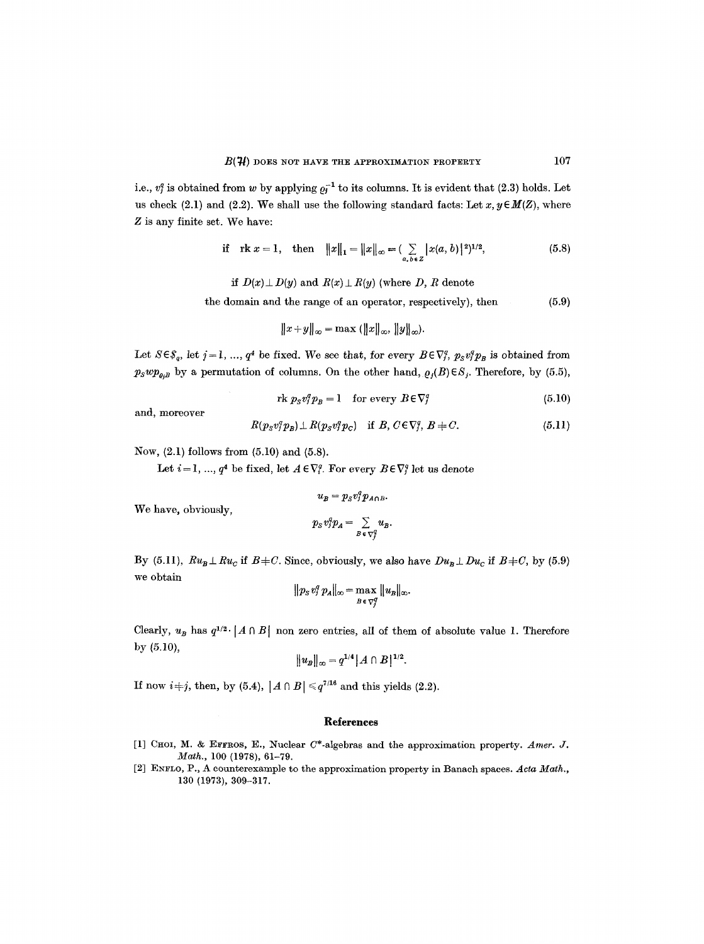i.e.,  $v_i^q$  is obtained from w by applying  $\rho_i^{-1}$  to its columns. It is evident that (2.3) holds. Let us check (2.1) and (2.2). We shall use the following standard facts: Let  $x, y \in M(Z)$ , where Z is any finite set. We have:

if 
$$
\text{rk } x = 1
$$
, then  $||x||_1 = ||x||_{\infty} = (\sum_{a, b \in Z} |x(a, b)|^2)^{1/2}$ , (5.8)

*if*  $D(x) \perp D(y)$  and  $R(x) \perp R(y)$  (where D, R denote

the domain and the range of an operator, respectively), then (5.9)

$$
||x+y||_{\infty} = \max (||x||_{\infty}, ||y||_{\infty}).
$$

Let  $S \in \mathcal{S}_q$ , let  $j = 1, ..., q^4$  be fixed. We see that, for every  $B \in \nabla_i^q$ ,  $p_S v_j^q p_B$  is obtained from  $p_Swp_{\varrho_i}$  by a permutation of columns. On the other hand,  $\varrho_j(B) \in S_j$ . Therefore, by (5.5),

$$
\text{rk } p_{\rm s} v_i^q p_{\rm s} = 1 \quad \text{for every } B \in \nabla_i^q \tag{5.10}
$$

and, moreover

$$
R(p_s v_j^q p_B) \perp R(p_s v_j^q p_C) \quad \text{if } B, C \in \nabla_j^q, B \neq C. \tag{5.11}
$$

Now, (2.1) follows from (5.10) and (5.8).

Let  $i = 1, ..., q^4$  be fixed, let  $A \in \nabla_i^q$ . For every  $B \in \nabla_i^q$  let us denote

$$
u_B=p_S v_j^q p_{A\cap B}.
$$

We have, obviously,

$$
p_S v_j^q p_A = \sum_{B \in \nabla_j^q} u_B.
$$

By (5.11),  $Ru_B \perp Ru_C$  if  $B+C$ . Since, obviously, we also have  $Du_B \perp Du_C$  if  $B+C$ , by (5.9) we obtain

$$
\|p_S v_j^q p_A\|_\infty = \max_{B \in \nabla_j^q} \|u_B\|_\infty.
$$

Clearly,  $u_B$  has  $q^{1/2}$  | A  $\cap$  B| non zero entries, all of them of absolute value 1. Therefore by (5.10),

$$
||u_B||_{\infty} = q^{1/4} |A \cap B|^{1/2}.
$$

If now  $i+j$ , then, by (5.4),  $|A \cap B| \leq q^{7/16}$  and this yields (2.2).

#### **References**

- [1] CHOI, M. & EFFROS, E., Nuclear C\*-algebras and the approximation property. *Amer. J. Math.,* 100 (1978), 61-79.
- [2] ENFLO, P., A counterexample to the approximation property in Banach spaces. Acta Math., 130 (1973), 309-317.